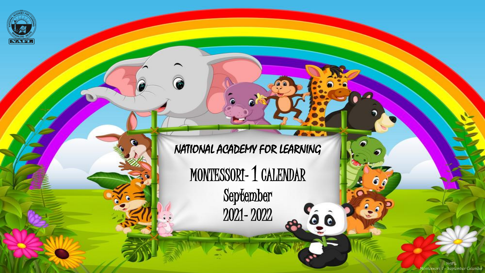

NATIONAL ACADEMY FOR LEARNING

MONTESSORI- 1 CALENDAR

September 2021- 2022  $\overline{\phantom{a}}$ 

 $0<sub>o</sub>$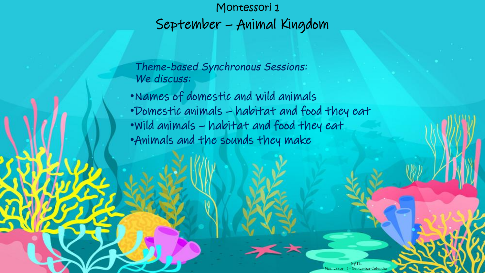## Montessori 1 September – Animal Kingdom

*Theme-based Synchronous Sessions: We discuss:*

•Names of domestic and wild animals •Domestic animals – habitat and food they eat •Wild animals – habitat and food they eat •Animals and the sounds they make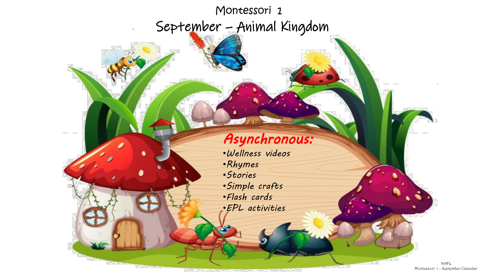## Montessori 1 September – Animal Kingdom

## *Asynchronous:*

•*Wellness videos* •*Rhymes* •*Stories* •*Simple crafts* •*Flash cards* •*EPL activities*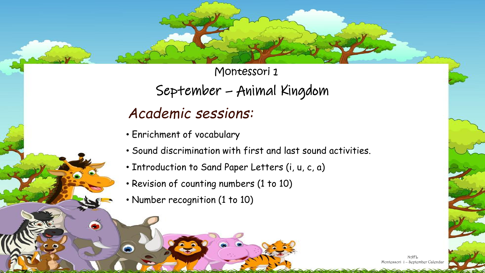Montessori 1

September – Animal Kingdom

## *Academic sessions:*

- Enrichment of vocabulary
- Sound discrimination with first and last sound activities.
- Introduction to Sand Paper Letters (i, u, c, a)
- Revision of counting numbers (1 to 10)
- Number recognition (1 to 10)

 $\bullet$ 

⊝

NAFL Montessori 1 – September Calendar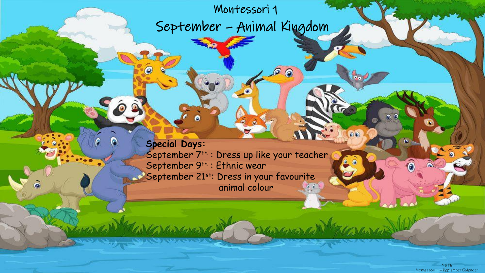Montessori 1

ଵ

 $\circledcirc$ 

Washington

September – Animal Kingdom

**Special Days:** September 7<sup>th</sup>: Dress up like your teacher September 9<sup>th</sup> : Ethnic wear September 21st: Dress in your favourite animal colour **Second** 

A

Commande

ā

and the August Calendary 1 – August Calendary 1 – August Calendary 1 – August Calendary 1 – August Calendary 1 NAFL Montessori 1 – September Calendar

 $00$ 

 $\widehat{\mathbf{e}}$ 

 $00$ 

 $20 -$